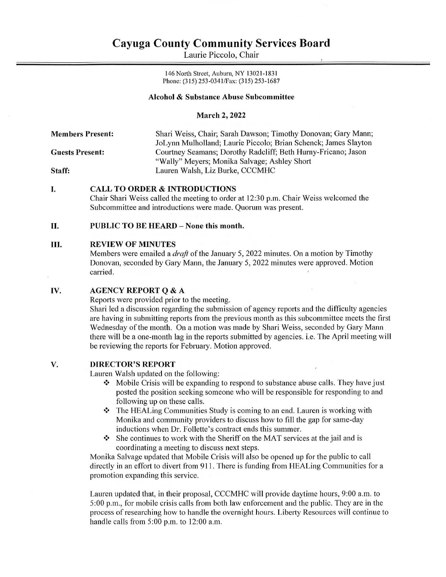# Cayuga County Community Services Board **Cayuga County Comn**<br>Laurie Picc Cayuga County Comn<br>Laurie Picc

Laurie Piccolo, Chair

146 North Street, Auburn, NY 13021-1831 Phone: (315) 253-034 1/Fax: (315) 253-1687

# Alcohol & Substance Abuse Subcommittee

## March 2, 2022

Members Present: Shari Weiss, Chair; Sarah Dawson; Timothy Donovan; Gary Mann; JoLynn Mulholland; Laurie Piccolo; Brian Schenck; James Slayton Guests Present: Courtney Seamans; Dorothy Radcliff; Beth Hurny-Fricano; Jason Staff: "Wally" Meyers; Monika Salvage; Ashley Short Lauren Walsh, Liz Burke, CCCMHC

### L CALL TO ORDER & INTRODUCTIONS

Chair Shari Weiss called the meeting to order at 12:30 p.m. Chair Weiss welcomed the Subcommittee and introductions were made. Quorum was present.

### I. PUBLIC TO BE HEARD - None this month.

### Hl. REVIEW OF MINUTES

Members were emailed a  $draf$  of the January 5, 2022 minutes. On a motion by Timothy Donovan, seconded by Gary Mann, the January 5, 2022 minutes were approved. Motion carried.

### Iv. AGENCY REPORT Q & A

Reports were provided prior to the meeting.

Shari led a discussion regarding the submission of agency reports and the difficulty agencies are having in submitting reports from the previous month as this subcommittee meets the first Wednesday of the month. On a motion was made by Shari Weiss, seconded by Gary Mann there will be a one-month lag in the reports submitted by agencies. i.e. The April meeting will be reviewing the reports for February. Motion approved.

### DIRECTOR'S REPORT V.

Lauren Walsh updated on the following:

- $\cdot \cdot$  Mobile Crisis will be expanding to respond to substance abuse calls. They have just posted the position seeking someone who will be responsible for responding to and following up on these calls.
- $\cdot \cdot$  The HEALing Communities Study is coming to an end. Lauren is working with Monika and community providers to discuss how to fill the gap for same-day inductions when Dr. Follette's contract ends this summer.
- $\cdot \cdot$  She continues to work with the Sheriff on the MAT services at the jail and is coordinating a meeting to discuss next steps.

Monika Salvage updated that Mobile Crisis will also be opened up for the public to call directly in an effort to divert from 911. There is funding from HEALing Communities for a promotion expanding this service.

Lauren updated that, in their proposal, CCCMHC will provide daytime hours, 9:00 a.m. to 5:00 p.m., for mobile crisis calls from both law enforcement and the public. They are in the process of researching how to handle the overnight hours. Liberty Resources will continue to handle calls from 5:00 p.m. to 12:00 a.m.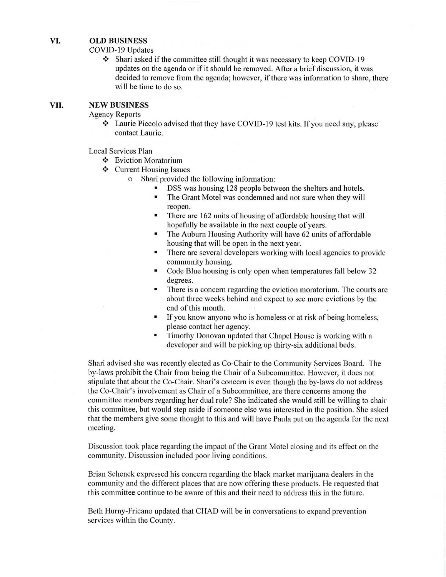### VI. OLD BUSINESS

COVID-19 Updates

\* Shari asked if the committee still thought it was necessary to keep COVID-19 updates on the agenda or if it should be removed. After a brief discussion, it was decided to remove from the agenda; however, if there was information to share, there will be time to do so.

### Vil. NEW BUSINESS

Agency Reports

\* Laurie Piccolo advised that they have COVID-19 test kits. If you need any, please contact Laurie.

Local Services Plan

- ❖ Eviction Moratorium
- ❖ Current Housing Issues
	- o Shari provided the following information:
		- DSS was housing 128 people between the shelters and hotels.
		- = The Grant Motel was condemned and not sure when they will reopen.
		- = There are 162 units of housing of affordable housing that will hopefully be available in the next couple of years.
		- The Auburn Housing Authority will have 62 units of affordable housing that will be open in the next year.
		- There are several developers working with local agencies to provide community housing.
		- Code Blue housing is only open when temperatures fall below 32 degrees.
		- There is a concern regarding the eviction moratorium. The courts are about three weeks behind and expect to see more evictions by the end of this month.
		- If you know anyone who is homeless or at risk of being homeless, please contact her agency.
		- Timothy Donovan updated that Chapel House is working with a developer and will be picking up thirty-six additional beds.

Shari advised she was recently elected as Co-Chair to the Community Services Board. The by-laws prohibit the Chair from being the Chair of a Subcommittee. However, it does not stipulate that about the Co-Chair. Shari's concern is even though the by-laws do not address the Co-Chair's involvement as Chair of a Subcommittee, are there concerns among the committee members regarding her dual role? She indicated she would still be willing to chair this committee, but would step aside if someone else was interested in the position. She asked that the members give some thought to this and will have Paula put on the agenda for the next meeting.

Discussion took place regarding the impact of the Grant Motel closing and its effect on the community. Discussion included poor living conditions.

Brian Schenck expressed his concern regarding the black market marijuana dealers in the community and the different places that are now offering these products. He requested that this committee continue to be aware of this and their need to address this in the future.

Beth Hurny-Fricano updated that CHAD will be in conversations to expand prevention services within the County.